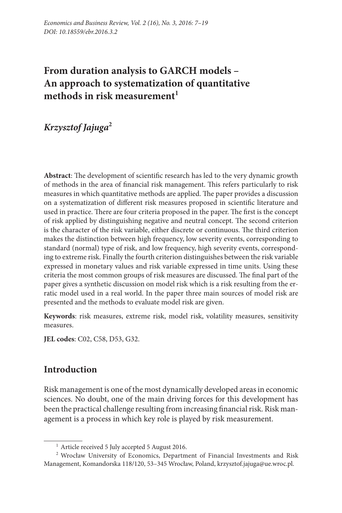# **From duration analysis to GARCH models – An approach to systematization of quantitative**  methods in risk measurement<sup>1</sup>

*Krzysztof Jajuga***<sup>2</sup>**

**Abstract**: The development of scientific research has led to the very dynamic growth of methods in the area of financial risk management. This refers particularly to risk measures in which quantitative methods are applied. The paper provides a discussion on a systematization of different risk measures proposed in scientific literature and used in practice. There are four criteria proposed in the paper. The first is the concept of risk applied by distinguishing negative and neutral concept. The second criterion is the character of the risk variable, either discrete or continuous. The third criterion makes the distinction between high frequency, low severity events, corresponding to standard (normal) type of risk, and low frequency, high severity events, corresponding to extreme risk. Finally the fourth criterion distinguishes between the risk variable expressed in monetary values and risk variable expressed in time units. Using these criteria the most common groups of risk measures are discussed. The final part of the paper gives a synthetic discussion on model risk which is a risk resulting from the erratic model used in a real world. In the paper three main sources of model risk are presented and the methods to evaluate model risk are given.

**Keywords**: risk measures, extreme risk, model risk, volatility measures, sensitivity measures.

**JEL codes**: C02, C58, D53, G32.

## **Introduction**

Risk management is one of the most dynamically developed areas in economic sciences. No doubt, one of the main driving forces for this development has been the practical challenge resulting from increasing financial risk. Risk management is a process in which key role is played by risk measurement.

<sup>&</sup>lt;sup>1</sup> Article received 5 July accepted 5 August 2016.

<sup>2</sup> Wrocław University of Economics, Department of Financial Investments and Risk Management, Komandorska 118/120, 53–345 Wrocław, Poland, krzysztof.jajuga@ue.wroc.pl.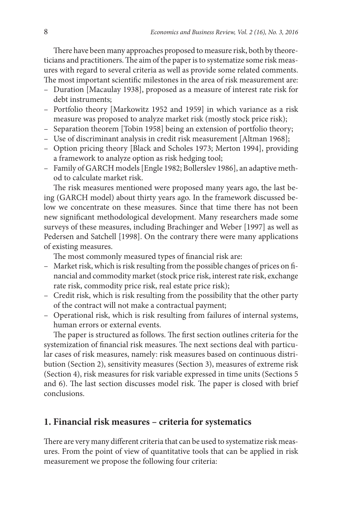There have been many approaches proposed to measure risk, both by theoreticians and practitioners. The aim of the paper is to systematize some risk measures with regard to several criteria as well as provide some related comments. The most important scientific milestones in the area of risk measurement are:

- Duration [Macaulay 1938], proposed as a measure of interest rate risk for debt instruments;
- Portfolio theory [Markowitz 1952 and 1959] in which variance as a risk measure was proposed to analyze market risk (mostly stock price risk);
- Separation theorem [Tobin 1958] being an extension of portfolio theory;
- Use of discriminant analysis in credit risk measurement [Altman 1968];
- Option pricing theory [Black and Scholes 1973; Merton 1994], providing a framework to analyze option as risk hedging tool;
- Family of GARCH models [Engle 1982; Bollerslev 1986], an adaptive method to calculate market risk.

The risk measures mentioned were proposed many years ago, the last being (GARCH model) about thirty years ago. In the framework discussed below we concentrate on these measures. Since that time there has not been new significant methodological development. Many researchers made some surveys of these measures, including Brachinger and Weber [1997] as well as Pedersen and Satchell [1998]. On the contrary there were many applications of existing measures.

The most commonly measured types of financial risk are:

- Market risk, which is risk resulting from the possible changes of prices on financial and commodity market (stock price risk, interest rate risk, exchange rate risk, commodity price risk, real estate price risk);
- Credit risk, which is risk resulting from the possibility that the other party of the contract will not make a contractual payment;
- Operational risk, which is risk resulting from failures of internal systems, human errors or external events.

The paper is structured as follows. The first section outlines criteria for the systemization of financial risk measures. The next sections deal with particular cases of risk measures, namely: risk measures based on continuous distribution (Section 2), sensitivity measures (Section 3), measures of extreme risk (Section 4), risk measures for risk variable expressed in time units (Sections 5 and 6). The last section discusses model risk. The paper is closed with brief conclusions.

## **1. Financial risk measures – criteria for systematics**

There are very many different criteria that can be used to systematize risk measures. From the point of view of quantitative tools that can be applied in risk measurement we propose the following four criteria: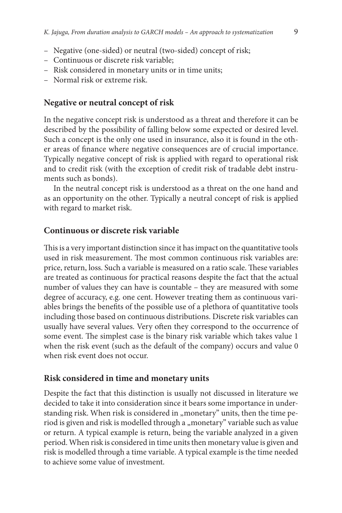- Negative (one-sided) or neutral (two-sided) concept of risk;
- Continuous or discrete risk variable;
- Risk considered in monetary units or in time units;
- Normal risk or extreme risk.

#### **Negative or neutral concept of risk**

In the negative concept risk is understood as a threat and therefore it can be described by the possibility of falling below some expected or desired level. Such a concept is the only one used in insurance, also it is found in the other areas of finance where negative consequences are of crucial importance. Typically negative concept of risk is applied with regard to operational risk and to credit risk (with the exception of credit risk of tradable debt instruments such as bonds).

In the neutral concept risk is understood as a threat on the one hand and as an opportunity on the other. Typically a neutral concept of risk is applied with regard to market risk.

#### **Continuous or discrete risk variable**

This is a very important distinction since it has impact on the quantitative tools used in risk measurement. The most common continuous risk variables are: price, return, loss. Such a variable is measured on a ratio scale. These variables are treated as continuous for practical reasons despite the fact that the actual number of values they can have is countable – they are measured with some degree of accuracy, e.g. one cent. However treating them as continuous variables brings the benefits of the possible use of a plethora of quantitative tools including those based on continuous distributions. Discrete risk variables can usually have several values. Very often they correspond to the occurrence of some event. The simplest case is the binary risk variable which takes value 1 when the risk event (such as the default of the company) occurs and value 0 when risk event does not occur.

#### **Risk considered in time and monetary units**

Despite the fact that this distinction is usually not discussed in literature we decided to take it into consideration since it bears some importance in understanding risk. When risk is considered in "monetary" units, then the time period is given and risk is modelled through a "monetary" variable such as value or return. A typical example is return, being the variable analyzed in a given period. When risk is considered in time units then monetary value is given and risk is modelled through a time variable. A typical example is the time needed to achieve some value of investment.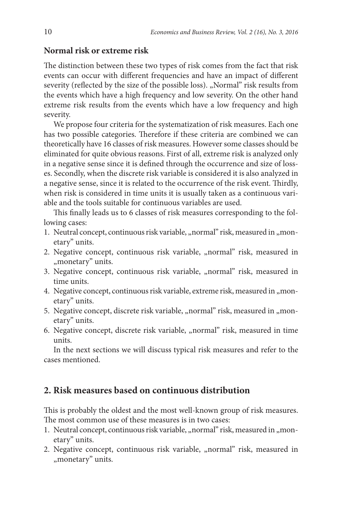#### **Normal risk or extreme risk**

The distinction between these two types of risk comes from the fact that risk events can occur with different frequencies and have an impact of different severity (reflected by the size of the possible loss). "Normal" risk results from the events which have a high frequency and low severity. On the other hand extreme risk results from the events which have a low frequency and high severity.

We propose four criteria for the systematization of risk measures. Each one has two possible categories. Therefore if these criteria are combined we can theoretically have 16 classes of risk measures. However some classes should be eliminated for quite obvious reasons. First of all, extreme risk is analyzed only in a negative sense since it is defined through the occurrence and size of losses. Secondly, when the discrete risk variable is considered it is also analyzed in a negative sense, since it is related to the occurrence of the risk event. Thirdly, when risk is considered in time units it is usually taken as a continuous variable and the tools suitable for continuous variables are used.

This finally leads us to 6 classes of risk measures corresponding to the following cases:

- 1. Neutral concept, continuous risk variable, "normal" risk, measured in "monetary" units.
- 2. Negative concept, continuous risk variable, "normal" risk, measured in "monetary" units.
- 3. Negative concept, continuous risk variable, "normal" risk, measured in time units.
- 4. Negative concept, continuous risk variable, extreme risk, measured in "monetary" units.
- 5. Negative concept, discrete risk variable, "normal" risk, measured in "monetary" units.
- 6. Negative concept, discrete risk variable, "normal" risk, measured in time units.

In the next sections we will discuss typical risk measures and refer to the cases mentioned.

### **2. Risk measures based on continuous distribution**

This is probably the oldest and the most well-known group of risk measures. The most common use of these measures is in two cases:

- 1. Neutral concept, continuous risk variable, "normal" risk, measured in "monetary" units.
- 2. Negative concept, continuous risk variable, "normal" risk, measured in ", monetary" units.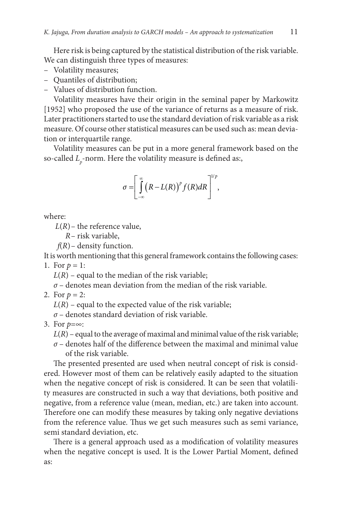Here risk is being captured by the statistical distribution of the risk variable. We can distinguish three types of measures:

- Volatility measures;
- Quantiles of distribution;
- Values of distribution function.

Volatility measures have their origin in the seminal paper by Markowitz [1952] who proposed the use of the variance of returns as a measure of risk. Later practitioners started to use the standard deviation of risk variable as a risk measure. Of course other statistical measures can be used such as: mean deviation or interquartile range.

Volatility measures can be put in a more general framework based on the so-called *L p* -norm. Here the volatility measure is defined as:,

$$
\sigma = \left[ \int\limits_{-\infty}^{\infty} \left( R - L(R) \right)^p f(R) dR \right]^{1/p},
$$

where:

 $L(R)$ – the reference value,

*R*– risk variable,

*f*(*R*)– density function.

It is worth mentioning that this general framework contains the following cases:

1. For  $p = 1$ :

 $L(R)$  – equal to the median of the risk variable;

*σ* – denotes mean deviation from the median of the risk variable.

2. For  $p = 2$ :

 $L(R)$  – equal to the expected value of the risk variable;

*σ* – denotes standard deviation of risk variable.

3. For *p*=∞:

 $L(R)$  – equal to the average of maximal and minimal value of the risk variable;

*σ* – denotes half of the difference between the maximal and minimal value of the risk variable.

The presented presented are used when neutral concept of risk is considered. However most of them can be relatively easily adapted to the situation when the negative concept of risk is considered. It can be seen that volatility measures are constructed in such a way that deviations, both positive and negative, from a reference value (mean, median, etc.) are taken into account. Therefore one can modify these measures by taking only negative deviations from the reference value. Thus we get such measures such as semi variance, semi standard deviation, etc.

There is a general approach used as a modification of volatility measures when the negative concept is used. It is the Lower Partial Moment, defined as: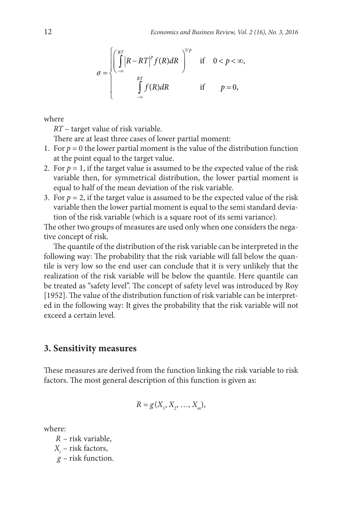$$
\sigma = \begin{cases} \begin{pmatrix} \frac{RT}{\pi} \\ \frac{1}{\pi} \end{pmatrix} R - RT \Big|^p f(R) dR \end{pmatrix}^{1/p} \quad \text{if} \quad 0 < p < \infty, \\ \begin{array}{c} \int_{-\infty}^{RT} f(R) dR \end{array} \quad \text{if} \quad p = 0, \end{cases}
$$

where

*RT* – target value of risk variable.

There are at least three cases of lower partial moment:

- 1. For  $p = 0$  the lower partial moment is the value of the distribution function at the point equal to the target value.
- 2. For  $p = 1$ , if the target value is assumed to be the expected value of the risk variable then, for symmetrical distribution, the lower partial moment is equal to half of the mean deviation of the risk variable.
- 3. For  $p = 2$ , if the target value is assumed to be the expected value of the risk variable then the lower partial moment is equal to the semi standard deviation of the risk variable (which is a square root of its semi variance).

The other two groups of measures are used only when one considers the negative concept of risk.

The quantile of the distribution of the risk variable can be interpreted in the following way: The probability that the risk variable will fall below the quantile is very low so the end user can conclude that it is very unlikely that the realization of the risk variable will be below the quantile. Here quantile can be treated as "safety level". The concept of safety level was introduced by Roy [1952]. The value of the distribution function of risk variable can be interpreted in the following way: It gives the probability that the risk variable will not exceed a certain level.

#### **3. Sensitivity measures**

These measures are derived from the function linking the risk variable to risk factors. The most general description of this function is given as:

$$
R = g(X_1, X_2, ..., X_m),
$$

where:

*R* – risk variable, *Xi* – risk factors, *g* – risk function.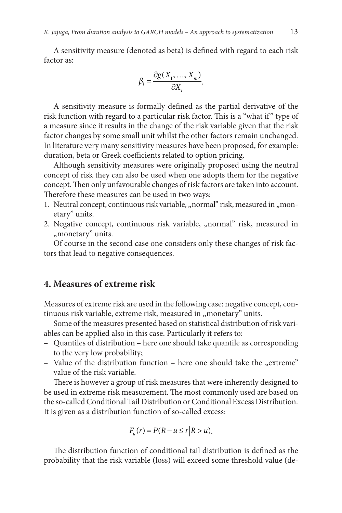A sensitivity measure (denoted as beta) is defined with regard to each risk factor as:

$$
\beta_i = \frac{\partial g(X_1, \ldots, X_m)}{\partial X_i}.
$$

A sensitivity measure is formally defined as the partial derivative of the risk function with regard to a particular risk factor. This is a "what if " type of a measure since it results in the change of the risk variable given that the risk factor changes by some small unit whilst the other factors remain unchanged. In literature very many sensitivity measures have been proposed, for example: duration, beta or Greek coefficients related to option pricing.

Although sensitivity measures were originally proposed using the neutral concept of risk they can also be used when one adopts them for the negative concept. Then only unfavourable changes of risk factors are taken into account. Therefore these measures can be used in two ways:

- 1. Neutral concept, continuous risk variable, "normal" risk, measured in "monetary" units.
- 2. Negative concept, continuous risk variable, "normal" risk, measured in "monetary" units.

Of course in the second case one considers only these changes of risk factors that lead to negative consequences.

#### **4. Measures of extreme risk**

Measures of extreme risk are used in the following case: negative concept, continuous risk variable, extreme risk, measured in "monetary" units.

Some of the measures presented based on statistical distribution of risk variables can be applied also in this case. Particularly it refers to:

- Quantiles of distribution here one should take quantile as corresponding to the very low probability;
- Value of the distribution function here one should take the "extreme" value of the risk variable.

There is however a group of risk measures that were inherently designed to be used in extreme risk measurement. The most commonly used are based on the so-called Conditional Tail Distribution or Conditional Excess Distribution. It is given as a distribution function of so-called excess:

$$
F_u(r) = P(R - u \le r | R > u).
$$

The distribution function of conditional tail distribution is defined as the probability that the risk variable (loss) will exceed some threshold value (de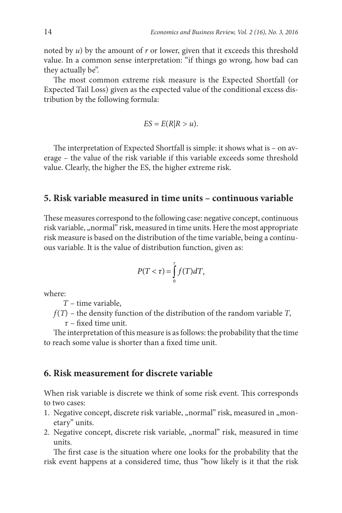noted by *u*) by the amount of *r* or lower, given that it exceeds this threshold value. In a common sense interpretation: "if things go wrong, how bad can they actually be".

The most common extreme risk measure is the Expected Shortfall (or Expected Tail Loss) given as the expected value of the conditional excess distribution by the following formula:

$$
ES = E(R|R > u).
$$

The interpretation of Expected Shortfall is simple: it shows what is – on average – the value of the risk variable if this variable exceeds some threshold value. Clearly, the higher the ES, the higher extreme risk.

## **5. Risk variable measured in time units – continuous variable**

These measures correspond to the following case: negative concept, continuous risk variable, "normal" risk, measured in time units. Here the most appropriate risk measure is based on the distribution of the time variable, being a continuous variable. It is the value of distribution function, given as:

$$
P(T < \tau) = \int_{0}^{\tau} f(T) dT,
$$

where:

*T* – time variable,

*f*(*T*) – the density function of the distribution of the random variable *T*,

*τ* – fixed time unit.

The interpretation of this measure is as follows: the probability that the time to reach some value is shorter than a fixed time unit.

#### **6. Risk measurement for discrete variable**

When risk variable is discrete we think of some risk event. This corresponds to two cases:

- 1. Negative concept, discrete risk variable, "normal" risk, measured in "monetary" units.
- 2. Negative concept, discrete risk variable, "normal" risk, measured in time units.

The first case is the situation where one looks for the probability that the risk event happens at a considered time, thus "how likely is it that the risk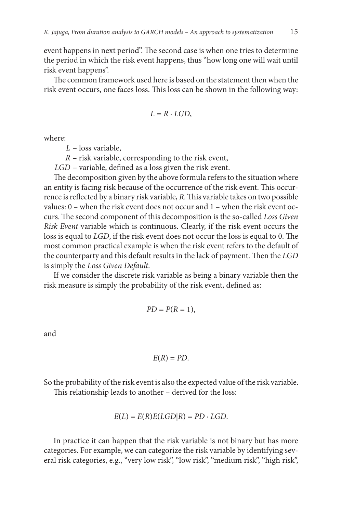event happens in next period". The second case is when one tries to determine the period in which the risk event happens, thus "how long one will wait until risk event happens".

The common framework used here is based on the statement then when the risk event occurs, one faces loss. This loss can be shown in the following way:

$$
L = R \cdot LGD,
$$

where:

*L* – loss variable,

*R –* risk variable, corresponding to the risk event,

*LGD* – variable, defined as a loss given the risk event.

The decomposition given by the above formula refers to the situation where an entity is facing risk because of the occurrence of the risk event. This occurrence is reflected by a binary risk variable, *R*. This variable takes on two possible values: 0 – when the risk event does not occur and 1 – when the risk event occurs. The second component of this decomposition is the so-called *Loss Given Risk Event* variable which is continuous. Clearly, if the risk event occurs the loss is equal to *LGD*, if the risk event does not occur the loss is equal to 0. The most common practical example is when the risk event refers to the default of the counterparty and this default results in the lack of payment. Then the *LGD*  is simply the *Loss Given Default*.

If we consider the discrete risk variable as being a binary variable then the risk measure is simply the probability of the risk event, defined as:

$$
PD=P(R=1),
$$

and

$$
E(R)=PD.
$$

So the probability of the risk event is also the expected value of the risk variable.

This relationship leads to another – derived for the loss:

$$
E(L) = E(R)E(LGD|R) = PD \cdot LGD.
$$

In practice it can happen that the risk variable is not binary but has more categories. For example, we can categorize the risk variable by identifying several risk categories, e.g., "very low risk", "low risk", "medium risk", "high risk",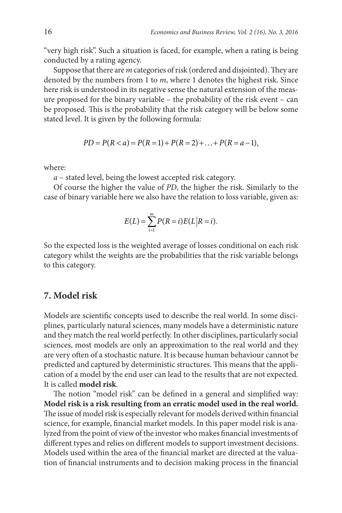"very high risk". Such a situation is faced, for example, when a rating is being conducted by a rating agency.

Suppose that there are *m* categories of risk (ordered and disjointed). They are denoted by the numbers from 1 to *m*, where 1 denotes the highest risk. Since here risk is understood in its negative sense the natural extension of the measure proposed for the binary variable – the probability of the risk event – can be proposed. This is the probability that the risk category will be below some stated level. It is given by the following formula:

$$
PD = P(R < a) = P(R = 1) + P(R = 2) + \ldots + P(R = a - 1),
$$

where:

*a* – stated level, being the lowest accepted risk category.

Of course the higher the value of *PD*, the higher the risk. Similarly to the case of binary variable here we also have the relation to loss variable, given as:

$$
E(L) = \sum_{i=1}^{m} P(R=i) E(L | R=i).
$$

So the expected loss is the weighted average of losses conditional on each risk category whilst the weights are the probabilities that the risk variable belongs to this category.

#### **7. Model risk**

Models are scientific concepts used to describe the real world. In some disciplines, particularly natural sciences, many models have a deterministic nature and they match the real world perfectly. In other disciplines, particularly social sciences, most models are only an approximation to the real world and they are very often of a stochastic nature. It is because human behaviour cannot be predicted and captured by deterministic structures. This means that the application of a model by the end user can lead to the results that are not expected. It is called **model risk**.

The notion "model risk" can be defined in a general and simplified way: **Model risk is a risk resulting from an erratic model used in the real world.**  The issue of model risk is especially relevant for models derived within financial science, for example, financial market models. In this paper model risk is analyzed from the point of view of the investor who makes financial investments of different types and relies on different models to support investment decisions. Models used within the area of the financial market are directed at the valuation of financial instruments and to decision making process in the financial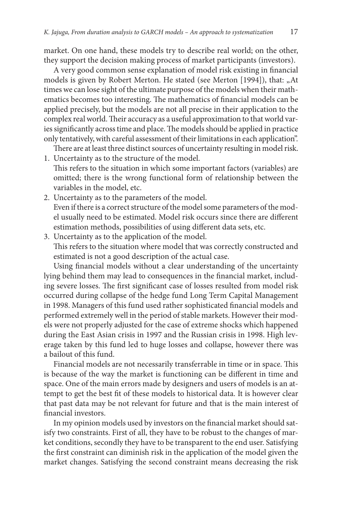market. On one hand, these models try to describe real world; on the other, they support the decision making process of market participants (investors).

A very good common sense explanation of model risk existing in financial models is given by Robert Merton. He stated (see Merton [1994]), that: "At times we can lose sight of the ultimate purpose of the models when their mathematics becomes too interesting. The mathematics of financial models can be applied precisely, but the models are not all precise in their application to the complex real world. Their accuracy as a useful approximation to that world varies significantly across time and place. The models should be applied in practice only tentatively, with careful assessment of their limitations in each application".

There are at least three distinct sources of uncertainty resulting in model risk. 1. Uncertainty as to the structure of the model.

- This refers to the situation in which some important factors (variables) are omitted; there is the wrong functional form of relationship between the variables in the model, etc.
- 2. Uncertainty as to the parameters of the model. Even if there is a correct structure of the model some parameters of the model usually need to be estimated. Model risk occurs since there are different estimation methods, possibilities of using different data sets, etc.
- 3. Uncertainty as to the application of the model. This refers to the situation where model that was correctly constructed and estimated is not a good description of the actual case.

Using financial models without a clear understanding of the uncertainty lying behind them may lead to consequences in the financial market, including severe losses. The first significant case of losses resulted from model risk occurred during collapse of the hedge fund Long Term Capital Management in 1998. Managers of this fund used rather sophisticated financial models and performed extremely well in the period of stable markets. However their models were not properly adjusted for the case of extreme shocks which happened during the East Asian crisis in 1997 and the Russian crisis in 1998. High leverage taken by this fund led to huge losses and collapse, however there was a bailout of this fund.

Financial models are not necessarily transferrable in time or in space. This is because of the way the market is functioning can be different in time and space. One of the main errors made by designers and users of models is an attempt to get the best fit of these models to historical data. It is however clear that past data may be not relevant for future and that is the main interest of financial investors.

In my opinion models used by investors on the financial market should satisfy two constraints. First of all, they have to be robust to the changes of market conditions, secondly they have to be transparent to the end user. Satisfying the first constraint can diminish risk in the application of the model given the market changes. Satisfying the second constraint means decreasing the risk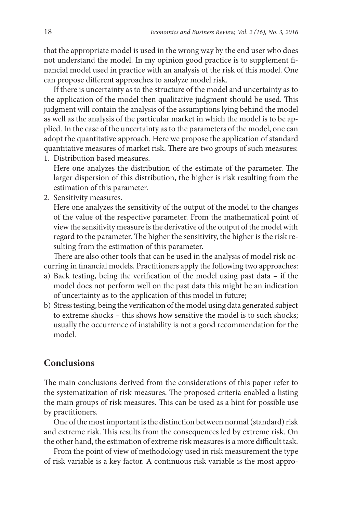that the appropriate model is used in the wrong way by the end user who does not understand the model. In my opinion good practice is to supplement financial model used in practice with an analysis of the risk of this model. One can propose different approaches to analyze model risk.

If there is uncertainty as to the structure of the model and uncertainty as to the application of the model then qualitative judgment should be used. This judgment will contain the analysis of the assumptions lying behind the model as well as the analysis of the particular market in which the model is to be applied. In the case of the uncertainty as to the parameters of the model, one can adopt the quantitative approach. Here we propose the application of standard quantitative measures of market risk. There are two groups of such measures: 1. Distribution based measures.

Here one analyzes the distribution of the estimate of the parameter. The larger dispersion of this distribution, the higher is risk resulting from the estimation of this parameter.

2. Sensitivity measures.

Here one analyzes the sensitivity of the output of the model to the changes of the value of the respective parameter. From the mathematical point of view the sensitivity measure is the derivative of the output of the model with regard to the parameter. The higher the sensitivity, the higher is the risk resulting from the estimation of this parameter.

There are also other tools that can be used in the analysis of model risk occurring in financial models. Practitioners apply the following two approaches:

- a) Back testing, being the verification of the model using past data if the model does not perform well on the past data this might be an indication of uncertainty as to the application of this model in future;
- b) Stress testing, being the verification of the model using data generated subject to extreme shocks – this shows how sensitive the model is to such shocks; usually the occurrence of instability is not a good recommendation for the model.

#### **Conclusions**

The main conclusions derived from the considerations of this paper refer to the systematization of risk measures. The proposed criteria enabled a listing the main groups of risk measures. This can be used as a hint for possible use by practitioners.

One of the most important is the distinction between normal (standard) risk and extreme risk. This results from the consequences led by extreme risk. On the other hand, the estimation of extreme risk measures is a more difficult task.

From the point of view of methodology used in risk measurement the type of risk variable is a key factor. A continuous risk variable is the most appro